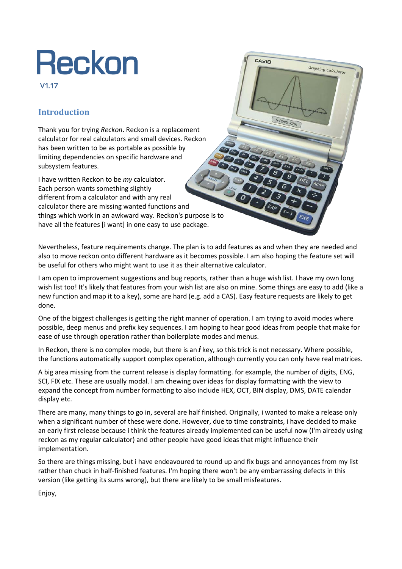# Reckon

V1.17

## **Introduction**

Thank you for trying *Reckon*. Reckon is a replacement calculator for real calculators and small devices. Reckon has been written to be as portable as possible by limiting dependencies on specific hardware and subsystem features.

I have written Reckon to be *my* calculator. Each person wants something slightly different from a calculator and with any real calculator there are missing wanted functions and things which work in an awkward way. Reckon's purpose is to have all the features [i want] in one easy to use package.

Nevertheless, feature requirements change. The plan is to add features as and when they are needed and also to move reckon onto different hardware as it becomes possible. I am also hoping the feature set will be useful for others who might want to use it as their alternative calculator.

CASIO

 $fx - 9860G$  Slim

Graphing Calculator

I am open to improvement suggestions and bug reports, rather than a huge wish list. I have my own long wish list too! It's likely that features from your wish list are also on mine. Some things are easy to add (like a new function and map it to a key), some are hard (e.g. add a CAS). Easy feature requests are likely to get done.

One of the biggest challenges is getting the right manner of operation. I am trying to avoid modes where possible, deep menus and prefix key sequences. I am hoping to hear good ideas from people that make for ease of use through operation rather than boilerplate modes and menus.

In Reckon, there is no complex mode, but there is an *i* key, so this trick is not necessary. Where possible, the functions automatically support complex operation, although currently you can only have real matrices.

A big area missing from the current release is display formatting. for example, the number of digits, ENG, SCI, FIX etc. These are usually modal. I am chewing over ideas for display formatting with the view to expand the concept from number formatting to also include HEX, OCT, BIN display, DMS, DATE calendar display etc.

There are many, many things to go in, several are half finished. Originally, i wanted to make a release only when a significant number of these were done. However, due to time constraints, i have decided to make an early first release because i think the features already implemented can be useful now (I'm already using reckon as my regular calculator) and other people have good ideas that might influence their implementation.

So there are things missing, but i have endeavoured to round up and fix bugs and annoyances from my list rather than chuck in half-finished features. I'm hoping there won't be any embarrassing defects in this version (like getting its sums wrong), but there are likely to be small misfeatures.

Enjoy,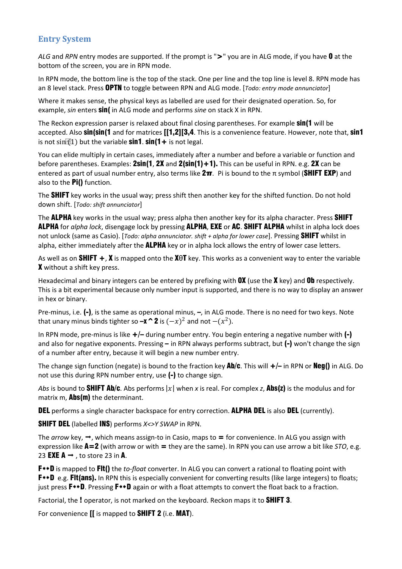#### **Entry System**

*ALG* and *RPN* entry modes are supported. If the prompt is ">" you are in ALG mode, if you have **0** at the bottom of the screen, you are in RPN mode.

In RPN mode, the bottom line is the top of the stack. One per line and the top line is level 8. RPN mode has an 8 level stack. Press OPTN to toggle between RPN and ALG mode. [*Todo: entry mode annunciator*]

Where it makes sense, the physical keys as labelled are used for their designated operation. So, for example, *sin* enters sin( in ALG mode and performs *sine* on stack X in RPN.

The Reckon expression parser is relaxed about final closing parentheses. For example **sin(1** will be accepted. Also sin(sin(1 and for matrices [[1,2][3,4. This is a convenience feature. However, note that, sin1 is not sin $\mathbb{R}1$  but the variable sin1. sin(1+ is not legal.

You can elide multiply in certain cases, immediately after a number and before a variable or function and before parentheses. Examples: 2sin(1, 2X and 2(sin(1)+1). This can be useful in RPN. e.g. 2X can be entered as part of usual number entry, also terms like  $2\pi$ . Pi is bound to the  $\pi$  symbol (SHIFT EXP) and also to the  $Pi()$  function.

The SHIFT key works in the usual way; press shift then another key for the shifted function. Do not hold down shift. [*Todo: shift annunciator*]

The **ALPHA** key works in the usual way; press alpha then another key for its alpha character. Press SHIFT ALPHA for *alpha lock*, disengage lock by pressing ALPHA, EXE or AC. SHIFT ALPHA whilst in alpha lock does not unlock (same as Casio). [*Todo: alpha annunciator. shift + alpha for lower case*]. Pressing SHIFT whilst in alpha, either immediately after the **ALPHA** key or in alpha lock allows the entry of lower case letters.

As well as on **SHIFT +, X** is mapped onto the **X** $\theta$ **T** key. This works as a convenient way to enter the variable X without a shift key press.

Hexadecimal and binary integers can be entered by prefixing with  $\mathbf{0}\mathbf{X}$  (use the  $\mathbf{X}$  key) and  $\mathbf{0}\mathbf{b}$  respectively. This is a bit experimental because only number input is supported, and there is no way to display an answer in hex or binary.

Pre-minus, i.e. (-), is the same as operational minus,  $-$ , in ALG mode. There is no need for two keys. Note that unary minus binds tighter so –x<sup>^2</sup> is  $(-x)^2$  and not  $-(x^2)$ .

In RPN mode, pre-minus is like +/– during number entry. You begin entering a negative number with (-) and also for negative exponents. Pressing  $-$  in RPN always performs subtract, but  $(-)$  won't change the sign of a number after entry, because it will begin a new number entry.

The change sign function (negate) is bound to the fraction key **Ab/c**. This will  $+/-$  in RPN or **Neg()** in ALG. Do not use this during RPN number entry, use (-) to change sign.

*Abs* is bound to **SHIFT Ab/c**. Abs performs  $|x|$  when *x* is real. For complex *z*, **Abs(z)** is the modulus and for matrix m, **Abs(m)** the determinant.

**DEL** performs a single character backspace for entry correction. **ALPHA DEL** is also **DEL** (currently).

SHIFT DEL (labelled INS) performs *X<>Y SWAP* in RPN.

The *arrow* key,  $\rightarrow$ , which means assign-to in Casio, maps to  $=$  for convenience. In ALG you assign with expression like A=2 (with arrow or with = they are the same). In RPN you can use arrow a bit like *STO*, e.g. 23 EXE A  $\rightarrow$  , to store 23 in A.

F<sup>\*\*D</sup> is mapped to FIt() the *to-float* converter. In ALG you can convert a rational to floating point with F<sup>\*\*</sup>D e.g. Fit(ans). In RPN this is especially convenient for converting results (like large integers) to floats; just press  $F^{\bullet}D$ . Pressing  $F^{\bullet}D$  again or with a float attempts to convert the float back to a fraction.

Factorial, the ! operator, is not marked on the keyboard. Reckon maps it to **SHIFT 3**.

For convenience **[[** is mapped to **SHIFT 2** (i.e. **MAT**).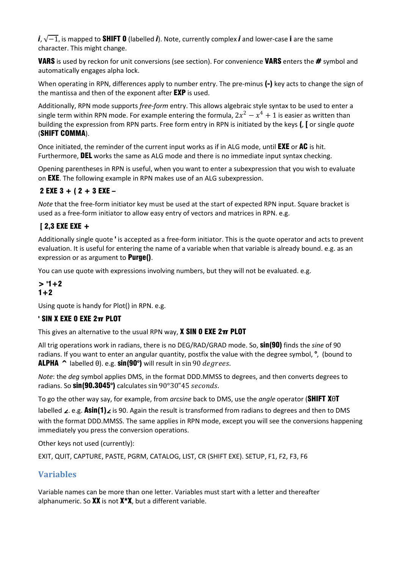*i*,  $\sqrt{-1}$ , is mapped to **SHIFT 0** (labelled *i*). Note, currently complex *i* and lower-case *i* are the same character. This might change.

VARS is used by reckon for unit conversions (see section). For convenience VARS enters the # symbol and automatically engages alpha lock.

When operating in RPN, differences apply to number entry. The pre-minus (-) key acts to change the sign of the mantissa and then of the exponent after **EXP** is used.

Additionally, RPN mode supports *free-form* entry. This allows algebraic style syntax to be used to enter a single term within RPN mode. For example entering the formula,  $2x^2 - x^4 + 1$  is easier as written than building the expression from RPN parts. Free form entry in RPN is initiated by the keys (, [ or single *quote* (SHIFT COMMA).

Once initiated, the reminder of the current input works as if in ALG mode, until **EXE** or AC is hit. Furthermore, DEL works the same as ALG mode and there is no immediate input syntax checking.

Opening parentheses in RPN is useful, when you want to enter a subexpression that you wish to evaluate on **EXE**. The following example in RPN makes use of an ALG subexpression.

## 2 EXE 3 + ( 2 + 3 EXE –

*Note* that the free-form initiator key must be used at the start of expected RPN input. Square bracket is used as a free-form initiator to allow easy entry of vectors and matrices in RPN. e.g.

## [ 2,3 EXE EXE +

Additionally single quote ' is accepted as a free-form initiator. This is the quote operator and acts to prevent evaluation. It is useful for entering the name of a variable when that variable is already bound. e.g. as an expression or as argument to **Purge()**.

You can use quote with expressions involving numbers, but they will not be evaluated. e.g.

#### $> 1+2$  $1+2$

Using quote is handy for Plot() in RPN. e.g.

#### ' SIN X EXE 0 EXE  $2\pi$  plot

This gives an alternative to the usual RPN way,  $X$  SIN 0 EXE  $2\pi$  PLOT

All trig operations work in radians, there is no DEG/RAD/GRAD mode. So, sin(90) finds the *sine* of 90 radians. If you want to enter an angular quantity, postfix the value with the degree symbol, <sup>o</sup>, (bound to **ALPHA**  $\sim$  labelled  $\theta$ ). e.g. **sin(90°)** will result in sin 90 *degrees*.

*Note*: the *deg* symbol applies DMS, in the format DDD.MMSS to degrees, and then converts degrees to radians. So  $sin(90.3045^{\circ})$  calculates  $sin 90^{\circ}30"45 seconds$ .

To go the other way say, for example, from *arcsine* back to DMS, use the *angle* operator (SHIFT XθT

labelled ∠. e.g. Asin(1)∠ is 90. Again the result is transformed from radians to degrees and then to DMS with the format DDD.MMSS. The same applies in RPN mode, except you will see the conversions happening immediately you press the conversion operations.

Other keys not used (currently):

EXIT, QUIT, CAPTURE, PASTE, PGRM, CATALOG, LIST, CR (SHIFT EXE). SETUP, F1, F2, F3, F6

## **Variables**

Variable names can be more than one letter. Variables must start with a letter and thereafter alphanumeric. So  $XX$  is not  $X^*X$ , but a different variable.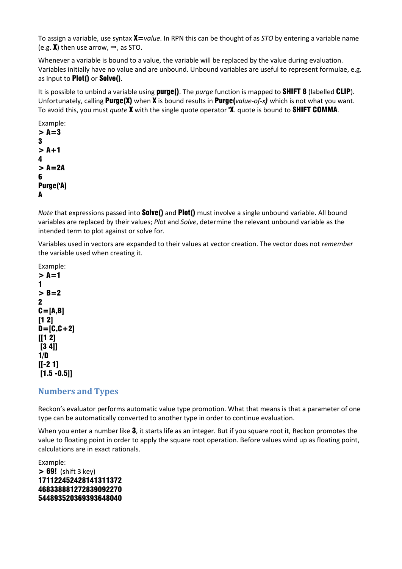To assign a variable, use syntax X=*value*. In RPN this can be thought of as *STO* by entering a variable name (e.g. **X**) then use arrow,  $\rightarrow$ , as STO.

Whenever a variable is bound to a value, the variable will be replaced by the value during evaluation. Variables initially have no value and are unbound. Unbound variables are useful to represent formulae, e.g. as input to Plot() or Solve().

It is possible to unbind a variable using purge(). The *purge* function is mapped to SHIFT 8 (labelled CLIP). Unfortunately, calling Purge(X) when X is bound results in Purge(*value-of-x)* which is not what you want. To avoid this, you must *quote* X with the single quote operator 'X. quote is bound to SHIFT COMMA.

Example:  $> A=3$ 3 > A+1 4  $> A=2A$ 6 Purge('A) A

*Note* that expressions passed into **Solve()** and **Plot()** must involve a single unbound variable. All bound variables are replaced by their values; *Plot* and *Solve*, determine the relevant unbound variable as the intended term to plot against or solve for.

Variables used in vectors are expanded to their values at vector creation. The vector does not *remember* the variable used when creating it.

Example:

 $> A=1$ 1  $>$  B=2 2  $C=[A,B]$ [1 2]  $D = [C, C + 2]$ [[1 2] [3 4]] 1/D [[-2 1] [1.5 -0.5]]

#### **Numbers and Types**

Reckon's evaluator performs automatic value type promotion. What that means is that a parameter of one type can be automatically converted to another type in order to continue evaluation.

When you enter a number like 3, it starts life as an integer. But if you square root it, Reckon promotes the value to floating point in order to apply the square root operation. Before values wind up as floating point, calculations are in exact rationals.

Example:  $> 69!$  (shift 3 key) 171122452428141311372 468338881272839092270 544893520369393648040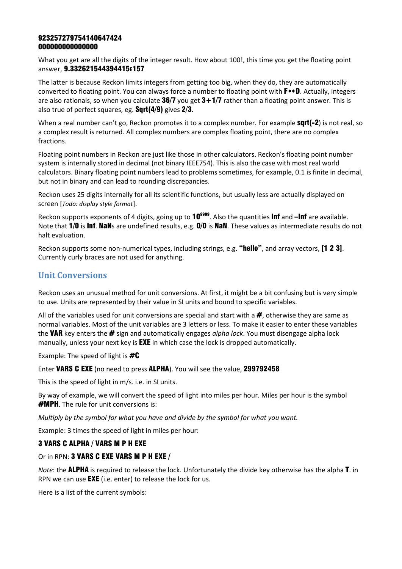#### 923257279754140647424 000000000000000

What you get are all the digits of the integer result. How about 100!, this time you get the floating point answer, **9.332621544394415E157** 

The latter is because Reckon limits integers from getting too big, when they do, they are automatically converted to floating point. You can always force a number to floating point with  $\mathbf{F} \leftrightarrow \mathbf{D}$ . Actually, integers are also rationals, so when you calculate  $36/7$  you get  $3+1/7$  rather than a floating point answer. This is also true of perfect squares, eg. Sqrt(4/9) gives 2/3.

When a real number can't go. Reckon promotes it to a complex number. For example **surt(-2)** is not real, so a complex result is returned. All complex numbers are complex floating point, there are no complex fractions.

Floating point numbers in Reckon are just like those in other calculators. Reckon's floating point number system is internally stored in decimal (not binary IEEE754). This is also the case with most real world calculators. Binary floating point numbers lead to problems sometimes, for example, 0.1 is finite in decimal, but not in binary and can lead to rounding discrepancies.

Reckon uses 25 digits internally for all its scientific functions, but usually less are actually displayed on screen [*Todo: display style format*].

Reckon supports exponents of 4 digits, going up to  $10<sup>9999</sup>$ . Also the quantities **Inf** and **-Inf** are available. Note that 1/0 is Inf. NaNs are undefined results, e.g. 0/0 is NaN. These values as intermediate results do not halt evaluation.

Reckon supports some non-numerical types, including strings, e.g. "hello", and array vectors, [1 2 3]. Currently curly braces are not used for anything.

## **Unit Conversions**

Reckon uses an unusual method for unit conversions. At first, it might be a bit confusing but is very simple to use. Units are represented by their value in SI units and bound to specific variables.

All of the variables used for unit conversions are special and start with a  $#$ , otherwise they are same as normal variables. Most of the unit variables are 3 letters or less. To make it easier to enter these variables the VAR key enters the # sign and automatically engages *alpha lock*. You must disengage alpha lock manually, unless your next key is  $EXE$  in which case the lock is dropped automatically.

Example: The speed of light is  $\#C$ 

Enter VARS C EXE (no need to press ALPHA). You will see the value, 299792458

This is the speed of light in m/s. i.e. in SI units.

By way of example, we will convert the speed of light into miles per hour. Miles per hour is the symbol #MPH. The rule for unit conversions is:

*Multiply by the symbol for what you have and divide by the symbol for what you want.*

Example: 3 times the speed of light in miles per hour:

#### 3 VARS C ALPHA / VARS M P H EXE

#### Or in RPN: 3 VARS C EXE VARS M P H EXE /

*Note*: the ALPHA is required to release the lock. Unfortunately the divide key otherwise has the alpha T. in RPN we can use **EXE** (i.e. enter) to release the lock for us.

Here is a list of the current symbols: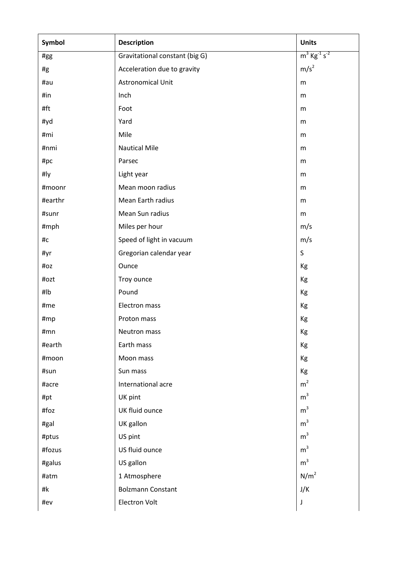| Symbol  | <b>Description</b>             | <b>Units</b>                           |
|---------|--------------------------------|----------------------------------------|
| #gg     | Gravitational constant (big G) | $m^3$ Kg <sup>-1</sup> s <sup>-2</sup> |
| #g      | Acceleration due to gravity    | m/s <sup>2</sup>                       |
| #au     | <b>Astronomical Unit</b>       | m                                      |
| #in     | Inch                           | m                                      |
| #ft     | Foot                           | m                                      |
| #yd     | Yard                           | m                                      |
| #mi     | Mile                           | m                                      |
| #nmi    | <b>Nautical Mile</b>           | m                                      |
| #pc     | Parsec                         | m                                      |
| #ly     | Light year                     | m                                      |
| #moonr  | Mean moon radius               | m                                      |
| #earthr | Mean Earth radius              | m                                      |
| #sunr   | Mean Sun radius                | ${\sf m}$                              |
| #mph    | Miles per hour                 | m/s                                    |
| #c      | Speed of light in vacuum       | m/s                                    |
| #yr     | Gregorian calendar year        | $\sf S$                                |
| #oz     | Ounce                          | Kg                                     |
| #ozt    | Troy ounce                     | Kg                                     |
| #lb     | Pound                          | Kg                                     |
| #me     | <b>Electron mass</b>           | Kg                                     |
| #mp     | Proton mass                    | Kg                                     |
| #mn     | Neutron mass                   | Kg                                     |
| #earth  | Earth mass                     | Kg                                     |
| #moon   | Moon mass                      | Kg                                     |
| #sun    | Sun mass                       | Kg                                     |
| #acre   | International acre             | m <sup>2</sup>                         |
| #pt     | UK pint                        | m <sup>3</sup>                         |
| #foz    | UK fluid ounce                 | m <sup>3</sup>                         |
| #gal    | UK gallon                      | m <sup>3</sup>                         |
| #ptus   | US pint                        | m <sup>3</sup>                         |
| #fozus  | US fluid ounce                 | m <sup>3</sup>                         |
| #galus  | US gallon                      | m <sup>3</sup>                         |
| #atm    | 1 Atmosphere                   | N/m <sup>2</sup>                       |
| #k      | <b>Bolzmann Constant</b>       | J/K                                    |
| #ev     | Electron Volt                  | J                                      |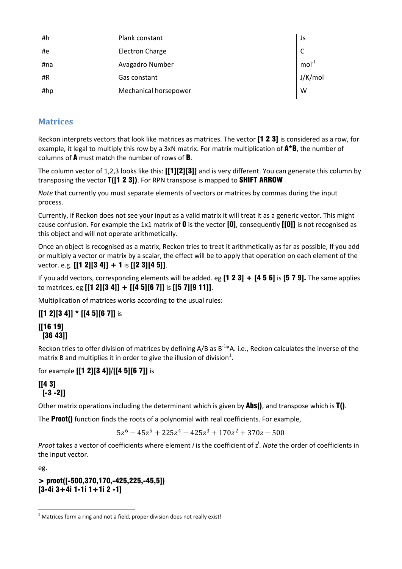| #h  | Plank constant         | Js      |
|-----|------------------------|---------|
| #e  | <b>Electron Charge</b> | C       |
| #na | Avagadro Number        | $mol-1$ |
| #R  | Gas constant           | J/K/mol |
| #hp | Mechanical horsepower  | w       |

#### **Matrices**

Reckon interprets vectors that look like matrices as matrices. The vector [1 2 3] is considered as a row, for example, it legal to multiply this row by a 3xN matrix. For matrix multiplication of  $\mathbf{A}^* \mathbf{B}$ , the number of columns of A must match the number of rows of B.

The column vector of 1,2,3 looks like this: [[1][2][3]] and is very different. You can generate this column by transposing the vector T([1 2 3]). For RPN transpose is mapped to SHIFT ARROW

*Note* that currently you must separate elements of vectors or matrices by commas during the input process.

Currently, if Reckon does not see your input as a valid matrix it will treat it as a generic vector. This might cause confusion. For example the 1x1 matrix of  $\bf{0}$  is the vector  $\bf{[0]}$ , consequently  $\bf{[0]}$  is not recognised as this object and will not operate arithmetically.

Once an object is recognised as a matrix, Reckon tries to treat it arithmetically as far as possible, If you add or multiply a vector or matrix by a scalar, the effect will be to apply that operation on each element of the vector. e.g. [[1 2][3 4]] + 1 is [[2 3][4 5]].

If you add vectors, corresponding elements will be added. eg  $[1 2 3] + [4 5 6]$  is  $[5 7 9]$ . The same applies to matrices, eg [[1 2][3 4]] + [[4 5][6 7]] is [[5 7][9 11]].

Multiplication of matrices works according to the usual rules:

## $[[1 2][3 4]]$  \*  $[[4 5][6 7]]$  is [[16 19] [36 43]]

Reckon tries to offer division of matrices by defining A/B as  $B^{-1*}A$ . i.e., Reckon calculates the inverse of the matrix B and multiplies it in order to give the illusion of division<sup>[1](#page-6-0)</sup>.

for example [[1 2][3 4]]/[[4 5][6 7]] is

#### [[4 3] [-3 -2]]

Other matrix operations including the determinant which is given by **Abs()**, and transpose which is  $T()$ .

The **Proot()** function finds the roots of a polynomial with real coefficients. For example,

 $5z^6 - 45z^5 + 225z^4 - 425z^3 + 170z^2 + 370z - 500$ 

Proot takes a vector of coefficients where element *i* is the coefficient of z<sup>i</sup>. *Note* the order of coefficients in the input vector.

eg.

> proot([-500,370,170,-425,225,-45,5]) [3-4i 3+4i 1-1i 1+1i 2 -1]

<span id="page-6-0"></span> $1$  Matrices form a ring and not a field, proper division does not really exist!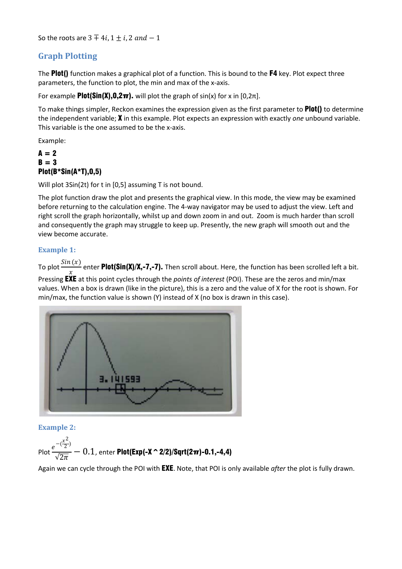So the roots are  $3 \mp 4i$ ,  $1 \pm i$ , 2 and  $-1$ 

## **Graph Plotting**

The **Plot()** function makes a graphical plot of a function. This is bound to the  $F4$  key. Plot expect three parameters, the function to plot, the min and max of the x-axis.

For example **Plot(Sin(X),0,2** $\pi$ **).** will plot the graph of sin(x) for x in [0,2 $\pi$ ].

To make things simpler, Reckon examines the expression given as the first parameter to **Plot()** to determine the independent variable; X in this example. Plot expects an expression with exactly *one* unbound variable. This variable is the one assumed to be the x-axis.

Example:

#### $\Delta = 2$  $B = 3$ Plot(B\*Sin(A\*T),0,5)

Will plot 3Sin(2t) for t in [0,5] assuming T is not bound.

The plot function draw the plot and presents the graphical view. In this mode, the view may be examined before returning to the calculation engine. The 4-way navigator may be used to adjust the view. Left and right scroll the graph horizontally, whilst up and down zoom in and out. Zoom is much harder than scroll and consequently the graph may struggle to keep up. Presently, the new graph will smooth out and the view become accurate.

#### **Example 1:**

To plot  $\frac{Sin(x)}{y}$  $\frac{\chi}{\omega}$ enter Plot(Sin(X)/X,-7,-7). Then scroll about. Here, the function has been scrolled left a bit. Pressing EXE at this point cycles through the *points of interest* (POI). These are the zeros and min/max values. When a box is drawn (like in the picture), this is a zero and the value of X for the root is shown. For



#### **Example 2:**

$$
\text{Plot} \frac{e^{-(\frac{x^2}{2})}}{\sqrt{2\pi}} - 0.1, \text{ enter Plot}(\text{Exp}(-X \,\hat{\,}\, 2/2)/\text{Sqrt}(2\pi)\text{-}0.1,\text{-}4,4)
$$

Again we can cycle through the POI with EXE. Note, that POI is only available *after* the plot is fully drawn.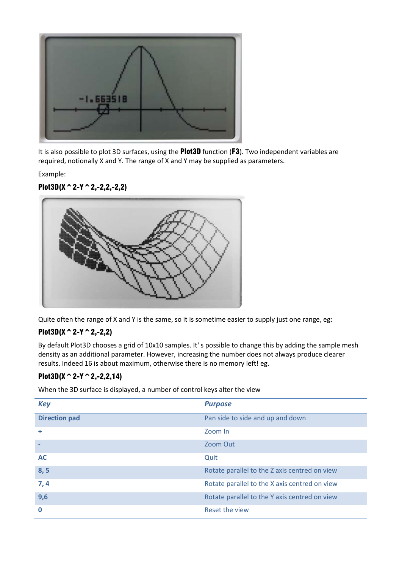

It is also possible to plot 3D surfaces, using the Plot3D function (F3). Two independent variables are required, notionally X and Y. The range of X and Y may be supplied as parameters.

Example:

Plot3D(X ^ 2-Y ^ 2,-2,2,-2,2)



Quite often the range of X and Y is the same, so it is sometime easier to supply just one range, eg:

## Plot3D(X  $\hat{ }$  2-Y  $\hat{ }$  2,-2,2)

By default Plot3D chooses a grid of 10x10 samples. It' s possible to change this by adding the sample mesh density as an additional parameter. However, increasing the number does not always produce clearer results. Indeed 16 is about maximum, otherwise there is no memory left! eg.

#### Plot3D(X  $\sim$  2-Y  $\sim$  2,-2,2,14)

When the 3D surface is displayed, a number of control keys alter the view

| <b>Key</b>           | <b>Purpose</b>                                |
|----------------------|-----------------------------------------------|
| <b>Direction pad</b> | Pan side to side and up and down              |
| ٠                    | Zoom In                                       |
|                      | Zoom Out                                      |
| <b>AC</b>            | Quit                                          |
| 8, 5                 | Rotate parallel to the Z axis centred on view |
| 7,4                  | Rotate parallel to the X axis centred on view |
| 9,6                  | Rotate parallel to the Y axis centred on view |
| 0                    | Reset the view                                |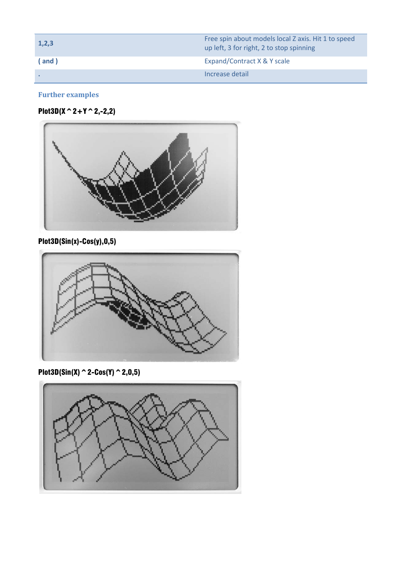| 1,2,3       | Free spin about models local Z axis. Hit 1 to speed<br>up left, 3 for right, 2 to stop spinning |
|-------------|-------------------------------------------------------------------------------------------------|
| $($ and $)$ | Expand/Contract X & Y scale                                                                     |
|             | Increase detail                                                                                 |

**Further examples**

## Plot3D(X^2+Y^2,-2,2)



Plot3D(Sin(x)-Cos(y),0,5)



 $Plot3D(Sin(X) ^ 2-Cos(Y) ^ 2,0,5)$ 

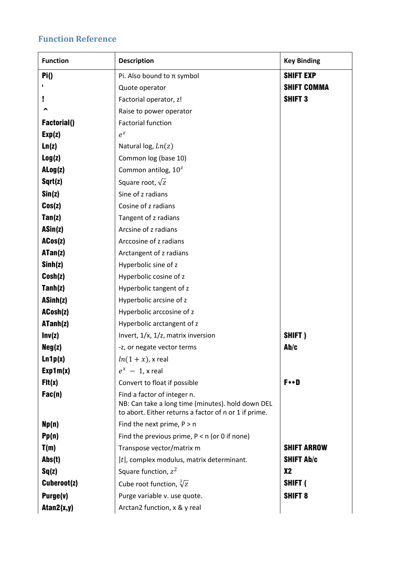## **Function Reference**

| <b>Function</b>  | <b>Description</b>                                                                                                                        | <b>Key Binding</b> |
|------------------|-------------------------------------------------------------------------------------------------------------------------------------------|--------------------|
| Pi()             | Pi. Also bound to $\pi$ symbol                                                                                                            | <b>SHIFT EXP</b>   |
| J.               | Quote operator                                                                                                                            | <b>SHIFT COMMA</b> |
| I                | Factorial operator, z!                                                                                                                    | <b>SHIFT 3</b>     |
| ᄉ                | Raise to power operator                                                                                                                   |                    |
| Factorial()      | <b>Factorial function</b>                                                                                                                 |                    |
| Exp(z)           | $e^z$                                                                                                                                     |                    |
| Ln(z)            | Natural log, $Ln(z)$                                                                                                                      |                    |
| Log(z)           | Common log (base 10)                                                                                                                      |                    |
| $\text{ALog}(z)$ | Common antilog, $10z$                                                                                                                     |                    |
| Sqrt(z)          | Square root, $\sqrt{z}$                                                                                                                   |                    |
| Sin(z)           | Sine of z radians                                                                                                                         |                    |
| Cos(z)           | Cosine of z radians                                                                                                                       |                    |
| Tan(z)           | Tangent of z radians                                                                                                                      |                    |
| ASin(z)          | Arcsine of z radians                                                                                                                      |                    |
| ACos(z)          | Arccosine of z radians                                                                                                                    |                    |
| ATan(z)          | Arctangent of z radians                                                                                                                   |                    |
| Sinh(z)          | Hyperbolic sine of z                                                                                                                      |                    |
| Cosh(z)          | Hyperbolic cosine of z                                                                                                                    |                    |
| Tanh(z)          | Hyperbolic tangent of z                                                                                                                   |                    |
| ASinh(z)         | Hyperbolic arcsine of z                                                                                                                   |                    |
| ACosh(z)         | Hyperbolic arccosine of z                                                                                                                 |                    |
| ATanh(z)         | Hyperbolic arctangent of z                                                                                                                |                    |
| Inv(z)           | Invert, $1/x$ , $1/z$ , matrix inversion                                                                                                  | SHIFT)             |
| Neg(z)           | -z, or negate vector terms                                                                                                                | Ab/c               |
| Ln1p(x)          | $ln(1+x)$ , x real                                                                                                                        |                    |
| Exp1m(x)         | $e^x - 1$ , x real                                                                                                                        |                    |
| Flt(x)           | Convert to float if possible                                                                                                              | F++D               |
| Fac(n)           | Find a factor of integer n.<br>NB: Can take a long time (minutes). hold down DEL<br>to abort. Either returns a factor of n or 1 if prime. |                    |
| Np(n)            | Find the next prime, $P > n$                                                                                                              |                    |
| Pp(n)            | Find the previous prime, $P < n$ (or 0 if none)                                                                                           |                    |
| T(m)             | Transpose vector/matrix m                                                                                                                 | <b>SHIFT ARROW</b> |
| Abs(t)           | $ t $ , complex modulus, matrix determinant.                                                                                              | <b>SHIFT Ab/c</b>  |
| Sq(z)            | Square function, $z^2$                                                                                                                    | <b>X2</b>          |
| Cuberoot(z)      | Cube root function, $\sqrt[3]{z}$                                                                                                         | SHIFT (            |
| Purge(v)         | Purge variable v. use quote.                                                                                                              | <b>SHIFT 8</b>     |
| Atan $2(x,y)$    | Arctan2 function, x & y real                                                                                                              |                    |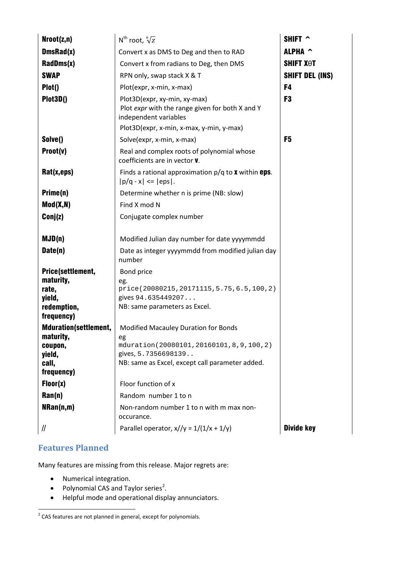| Nroot(z,n)                    | N <sup>th</sup> root, $\sqrt[n]{z}$                                                                                                                  | SHIFT ^                |
|-------------------------------|------------------------------------------------------------------------------------------------------------------------------------------------------|------------------------|
| DmsRad(x)                     | Convert x as DMS to Deg and then to RAD                                                                                                              | ALPHA ^                |
| RadDms(x)                     | Convert x from radians to Deg, then DMS                                                                                                              | <b>SHIFT XOT</b>       |
| <b>SWAP</b>                   | RPN only, swap stack X & T                                                                                                                           | <b>SHIFT DEL (INS)</b> |
| Plot()                        | Plot(expr, x-min, x-max)                                                                                                                             | F4                     |
| Plot3D()                      | Plot3D(expr, xy-min, xy-max)<br>Plot expr with the range given for both X and Y<br>independent variables<br>Plot3D(expr, x-min, x-max, y-min, y-max) | F <sub>3</sub>         |
| Solve()                       | Solve(expr, x-min, x-max)                                                                                                                            | F <sub>5</sub>         |
| Proot(v)                      | Real and complex roots of polynomial whose<br>coefficients are in vector <b>v</b> .                                                                  |                        |
| Rat(x,eps)                    | Finds a rational approximation $p/q$ to <b>x</b> within <b>eps</b> .<br>$ p/q - x  \leq  eps $ .                                                     |                        |
| Prime(n)                      | Determine whether n is prime (NB: slow)                                                                                                              |                        |
| Mod(X, N)                     | Find X mod N                                                                                                                                         |                        |
| Conj(z)                       | Conjugate complex number                                                                                                                             |                        |
| MJD(n)                        | Modified Julian day number for date yyyymmdd                                                                                                         |                        |
| Date(n)                       | Date as integer yyyymmdd from modified julian day<br>number                                                                                          |                        |
| Price(settlement,             | Bond price                                                                                                                                           |                        |
| maturity,<br>rate,            | eg.<br>price(20080215,20171115,5.75,6.5,100,2)                                                                                                       |                        |
| yield,                        | gives 94.635449207                                                                                                                                   |                        |
| redemption,<br>frequency)     | NB: same parameters as Excel.                                                                                                                        |                        |
| <b>Mduration</b> (settlement, | Modified Macauley Duration for Bonds                                                                                                                 |                        |
| maturity,<br>coupon,          | eg<br>mduration(20080101,20160101,8,9,100,2)                                                                                                         |                        |
| yield,                        | gives, 5.7356698139                                                                                                                                  |                        |
| call,                         | NB: same as Excel, except call parameter added.                                                                                                      |                        |
| frequency)                    |                                                                                                                                                      |                        |
| Floor(x)                      | Floor function of x                                                                                                                                  |                        |
| $\text{Ran}(n)$               | Random number 1 to n                                                                                                                                 |                        |
| NRan(n,m)                     | Non-random number 1 to n with m max non-<br>occurance.                                                                                               |                        |
| $\mathcal{U}$                 | Parallel operator, $x//y = 1/(1/x + 1/y)$                                                                                                            | <b>Divide key</b>      |

## **Features Planned**

Many features are missing from this release. Major regrets are:

- Numerical integration.
- Polynomial CAS and Taylor series<sup>[2](#page-11-0)</sup>.
- Helpful mode and operational display annunciators.

<span id="page-11-0"></span> $2$  CAS features are not planned in general, except for polynomials.